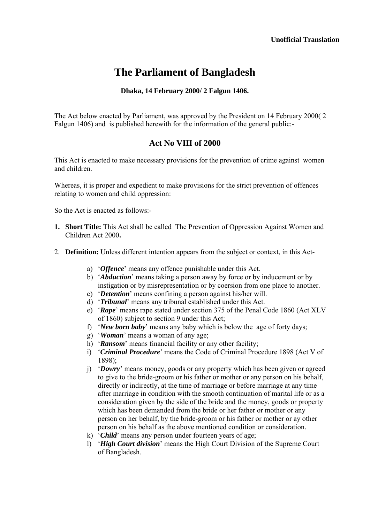# **The Parliament of Bangladesh**

# **Dhaka, 14 February 2000/ 2 Falgun 1406.**

The Act below enacted by Parliament, was approved by the President on 14 February 2000( 2 Falgun 1406) and is published herewith for the information of the general public:-

# **Act No VIII of 2000**

This Act is enacted to make necessary provisions for the prevention of crime against women and children.

Whereas, it is proper and expedient to make provisions for the strict prevention of offences relating to women and child oppression:

So the Act is enacted as follows:-

- **1. Short Title:** This Act shall be called The Prevention of Oppression Against Women and Children Act 2000**.**
- 2. **Definition:** Unless different intention appears from the subject or context, in this Act
	- a) '*Offence*' means any offence punishable under this Act.
	- b) '*Abduction*' means taking a person away by force or by inducement or by instigation or by misrepresentation or by coersion from one place to another.
	- c) '*Detention*' means confining a person against his/her will.
	- d) '*Tribunal*' means any tribunal established under this Act.
	- e) '*Rape*' means rape stated under section 375 of the Penal Code 1860 (Act XLV of 1860) subject to section 9 under this Act;
	- f) '*New born baby*' means any baby which is below the age of forty days;
	- g) '*Woman*' means a woman of any age;
	- h) '*Ransom*' means financial facility or any other facility;
	- i) '*Criminal Procedure*' means the Code of Criminal Procedure 1898 (Act V of 1898);
	- j) '*Dowry*' means money, goods or any property which has been given or agreed to give to the bride-groom or his father or mother or any person on his behalf, directly or indirectly, at the time of marriage or before marriage at any time after marriage in condition with the smooth continuation of marital life or as a consideration given by the side of the bride and the money, goods or property which has been demanded from the bride or her father or mother or any person on her behalf, by the bride-groom or his father or mother or ay other person on his behalf as the above mentioned condition or consideration.
	- k) '*Child*' means any person under fourteen years of age;
	- l) '*High Court division*' means the High Court Division of the Supreme Court of Bangladesh.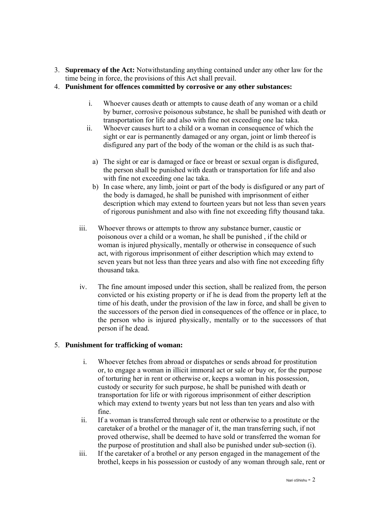- 3. **Supremacy of the Act:** Notwithstanding anything contained under any other law for the time being in force, the provisions of this Act shall prevail.
- 4. **Punishment for offences committed by corrosive or any other substances:** 
	- i. Whoever causes death or attempts to cause death of any woman or a child by burner, corrosive poisonous substance, he shall be punished with death or transportation for life and also with fine not exceeding one lac taka.
	- ii. Whoever causes hurt to a child or a woman in consequence of which the sight or ear is permanently damaged or any organ, joint or limb thereof is disfigured any part of the body of the woman or the child is as such that
		- a) The sight or ear is damaged or face or breast or sexual organ is disfigured, the person shall be punished with death or transportation for life and also with fine not exceeding one lac taka.
		- b) In case where, any limb, joint or part of the body is disfigured or any part of the body is damaged, he shall be punished with imprisonment of either description which may extend to fourteen years but not less than seven years of rigorous punishment and also with fine not exceeding fifty thousand taka.
	- iii. Whoever throws or attempts to throw any substance burner, caustic or poisonous over a child or a woman, he shall be punished , if the child or woman is injured physically, mentally or otherwise in consequence of such act, with rigorous imprisonment of either description which may extend to seven years but not less than three years and also with fine not exceeding fifty thousand taka.
	- iv. The fine amount imposed under this section, shall be realized from, the person convicted or his existing property or if he is dead from the property left at the time of his death, under the provision of the law in force, and shall be given to the successors of the person died in consequences of the offence or in place, to the person who is injured physically, mentally or to the successors of that person if he dead.

# 5. **Punishment for trafficking of woman:**

- i. Whoever fetches from abroad or dispatches or sends abroad for prostitution or, to engage a woman in illicit immoral act or sale or buy or, for the purpose of torturing her in rent or otherwise or, keeps a woman in his possession, custody or security for such purpose, he shall be punished with death or transportation for life or with rigorous imprisonment of either description which may extend to twenty years but not less than ten years and also with fine.
- ii. If a woman is transferred through sale rent or otherwise to a prostitute or the caretaker of a brothel or the manager of it, the man transferring such, if not proved otherwise, shall be deemed to have sold or transferred the woman for the purpose of prostitution and shall also be punished under sub-section (і).
- iii. If the caretaker of a brothel or any person engaged in the management of the brothel, keeps in his possession or custody of any woman through sale, rent or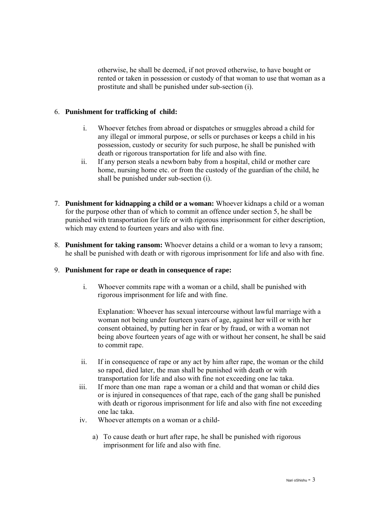otherwise, he shall be deemed, if not proved otherwise, to have bought or rented or taken in possession or custody of that woman to use that woman as a prostitute and shall be punished under sub-section (і).

# 6. **Punishment for trafficking of child:**

- i. Whoever fetches from abroad or dispatches or smuggles abroad a child for any illegal or immoral purpose, or sells or purchases or keeps a child in his possession, custody or security for such purpose, he shall be punished with death or rigorous transportation for life and also with fine.
- ii. If any person steals a newborn baby from a hospital, child or mother care home, nursing home etc. or from the custody of the guardian of the child, he shall be punished under sub-section (і).
- 7. **Punishment for kidnapping a child or a woman:** Whoever kidnaps a child or a woman for the purpose other than of which to commit an offence under section 5, he shall be punished with transportation for life or with rigorous imprisonment for either description, which may extend to fourteen years and also with fine.
- 8. **Punishment for taking ransom:** Whoever detains a child or a woman to levy a ransom; he shall be punished with death or with rigorous imprisonment for life and also with fine.

# 9. **Punishment for rape or death in consequence of rape:**

i. Whoever commits rape with a woman or a child, shall be punished with rigorous imprisonment for life and with fine.

Explanation: Whoever has sexual intercourse without lawful marriage with a woman not being under fourteen years of age, against her will or with her consent obtained, by putting her in fear or by fraud, or with a woman not being above fourteen years of age with or without her consent, he shall be said to commit rape.

- ii. If in consequence of rape or any act by him after rape, the woman or the child so raped, died later, the man shall be punished with death or with transportation for life and also with fine not exceeding one lac taka.
- iii. If more than one man rape a woman or a child and that woman or child dies or is injured in consequences of that rape, each of the gang shall be punished with death or rigorous imprisonment for life and also with fine not exceeding one lac taka.
- iv. Whoever attempts on a woman or a child
	- a) To cause death or hurt after rape, he shall be punished with rigorous imprisonment for life and also with fine.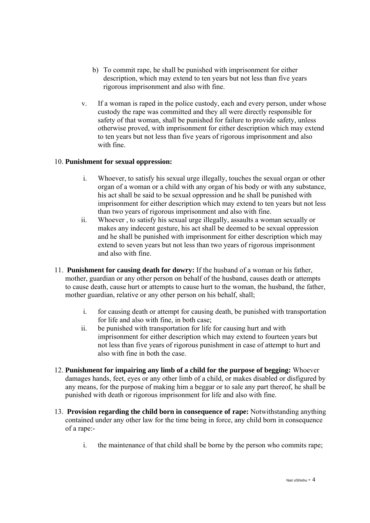- b) To commit rape, he shall be punished with imprisonment for either description, which may extend to ten years but not less than five years rigorous imprisonment and also with fine.
- v. If a woman is raped in the police custody, each and every person, under whose custody the rape was committed and they all were directly responsible for safety of that woman, shall be punished for failure to provide safety, unless otherwise proved, with imprisonment for either description which may extend to ten years but not less than five years of rigorous imprisonment and also with fine.

# 10. **Punishment for sexual oppression:**

- i. Whoever, to satisfy his sexual urge illegally, touches the sexual organ or other organ of a woman or a child with any organ of his body or with any substance, his act shall be said to be sexual oppression and he shall be punished with imprisonment for either description which may extend to ten years but not less than two years of rigorous imprisonment and also with fine.
- ii. Whoever , to satisfy his sexual urge illegally, assaults a woman sexually or makes any indecent gesture, his act shall be deemed to be sexual oppression and he shall be punished with imprisonment for either description which may extend to seven years but not less than two years of rigorous imprisonment and also with fine.
- 11. **Punishment for causing death for dowry:** If the husband of a woman or his father, mother, guardian or any other person on behalf of the husband, causes death or attempts to cause death, cause hurt or attempts to cause hurt to the woman, the husband, the father, mother guardian, relative or any other person on his behalf, shall;
	- i. for causing death or attempt for causing death, be punished with transportation for life and also with fine, in both case;
	- ii. be punished with transportation for life for causing hurt and with imprisonment for either description which may extend to fourteen years but not less than five years of rigorous punishment in case of attempt to hurt and also with fine in both the case.
- 12. **Punishment for impairing any limb of a child for the purpose of begging:** Whoever damages hands, feet, eyes or any other limb of a child, or makes disabled or disfigured by any means, for the purpose of making him a beggar or to sale any part thereof, he shall be punished with death or rigorous imprisonment for life and also with fine.
- 13. **Provision regarding the child born in consequence of rape:** Notwithstanding anything contained under any other law for the time being in force, any child born in consequence of a rape:
	- i. the maintenance of that child shall be borne by the person who commits rape;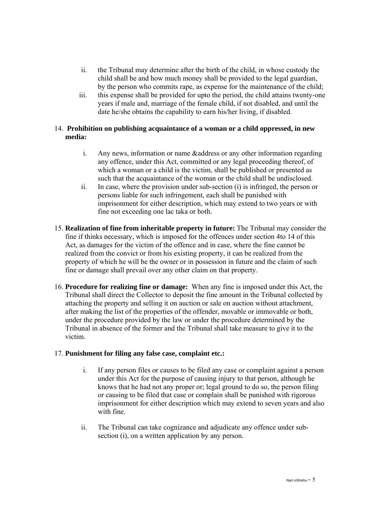- ii. the Tribunal may determine after the birth of the child, in whose custody the child shall be and how much money shall be provided to the legal guardian, by the person who commits rape, as expense for the maintenance of the child;
- iii. this expense shall be provided for upto the period, the child attains twenty-one years if male and, marriage of the female child, if not disabled, and until the date he/she obtains the capability to earn his/her living, if disabled.

# 14. **Prohibition on publishing acquaintance of a woman or a child oppressed, in new media:**

- i. Any news, information or name &address or any other information regarding any offence, under this Act, committed or any legal proceeding thereof, of which a woman or a child is the victim, shall be published or presented as such that the acquaintance of the woman or the child shall be undisclosed.
- ii. In case, where the provision under sub-section (і) is infringed, the person or persons liable for such infringement, each shall be punished with imprisonment for either description, which may extend to two years or with fine not exceeding one lac taka or both.
- 15. **Realization of fine from inheritable property in future:** The Tribunal may consider the fine if thinks necessary, which is imposed for the offences under section 4to 14 of this Act, as damages for the victim of the offence and in case, where the fine cannot be realized from the convict or from his existing property, it can be realized from the property of which he will be the owner or in possession in future and the claim of such fine or damage shall prevail over any other claim on that property.
- 16. **Procedure for realizing fine or damage:** When any fine is imposed under this Act, the Tribunal shall direct the Collector to deposit the fine amount in the Tribunal collected by attaching the property and selling it on auction or sale on auction without attachment, after making the list of the properties of the offender, movable or immovable or both, under the procedure provided by the law or under the procedure determined by the Tribunal in absence of the former and the Tribunal shall take measure to give it to the victim.

# 17. **Punishment for filing any false case, complaint etc.:**

- i. If any person files or causes to be filed any case or complaint against a person under this Act for the purpose of causing injury to that person, although he knows that he had not any proper or; legal ground to do so, the person filing or causing to be filed that case or complain shall be punished with rigorous imprisonment for either description which may extend to seven years and also with fine.
- ii. The Tribunal can take cognizance and adjudicate any offence under subsection (i), on a written application by any person.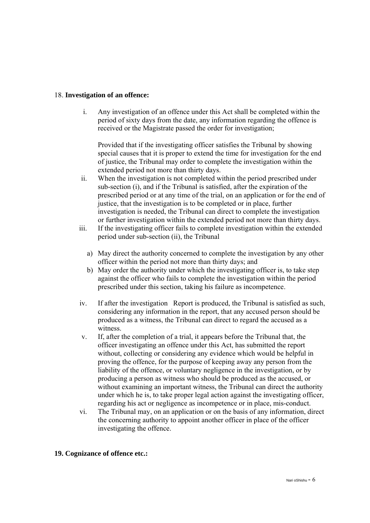### 18. **Investigation of an offence:**

i. Any investigation of an offence under this Act shall be completed within the period of sixty days from the date, any information regarding the offence is received or the Magistrate passed the order for investigation;

Provided that if the investigating officer satisfies the Tribunal by showing special causes that it is proper to extend the time for investigation for the end of justice, the Tribunal may order to complete the investigation within the extended period not more than thirty days.

- ii. When the investigation is not completed within the period prescribed under sub-section (i), and if the Tribunal is satisfied, after the expiration of the prescribed period or at any time of the trial, on an application or for the end of justice, that the investigation is to be completed or in place, further investigation is needed, the Tribunal can direct to complete the investigation or further investigation within the extended period not more than thirty days.
- iii. If the investigating officer fails to complete investigation within the extended period under sub-section (іі), the Tribunal
	- a) May direct the authority concerned to complete the investigation by any other officer within the period not more than thirty days; and
	- b) May order the authority under which the investigating officer is, to take step against the officer who fails to complete the investigation within the period prescribed under this section, taking his failure as incompetence.
- iv. If after the investigation Report is produced, the Tribunal is satisfied as such, considering any information in the report, that any accused person should be produced as a witness, the Tribunal can direct to regard the accused as a witness.
- v. If, after the completion of a trial, it appears before the Tribunal that, the officer investigating an offence under this Act, has submitted the report without, collecting or considering any evidence which would be helpful in proving the offence, for the purpose of keeping away any person from the liability of the offence, or voluntary negligence in the investigation, or by producing a person as witness who should be produced as the accused, or without examining an important witness, the Tribunal can direct the authority under which he is, to take proper legal action against the investigating officer, regarding his act or negligence as incompetence or in place, mis-conduct.
- vi. The Tribunal may, on an application or on the basis of any information, direct the concerning authority to appoint another officer in place of the officer investigating the offence.

#### **19. Cognizance of offence etc.:**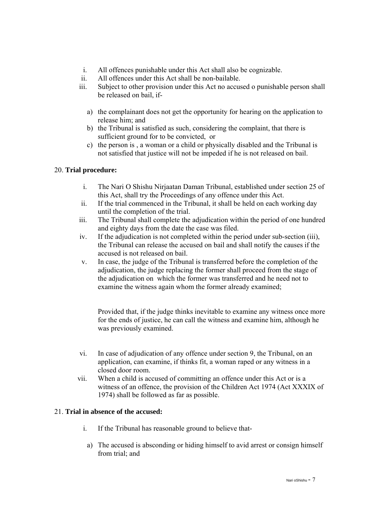- i. All offences punishable under this Act shall also be cognizable.
- ii. All offences under this Act shall be non-bailable.
- iii. Subject to other provision under this Act no accused o punishable person shall be released on bail, if
	- a) the complainant does not get the opportunity for hearing on the application to release him; and
	- b) the Tribunal is satisfied as such, considering the complaint, that there is sufficient ground for to be convicted, or
	- c) the person is , a woman or a child or physically disabled and the Tribunal is not satisfied that justice will not be impeded if he is not released on bail.

# 20. **Trial procedure:**

- i. The Nari O Shishu Nirjaatan Daman Tribunal, established under section 25 of this Act, shall try the Proceedings of any offence under this Act.
- ii. If the trial commenced in the Tribunal, it shall be held on each working day until the completion of the trial.
- iii. The Tribunal shall complete the adjudication within the period of one hundred and eighty days from the date the case was filed.
- iv. If the adjudication is not completed within the period under sub-section (ііі), the Tribunal can release the accused on bail and shall notify the causes if the accused is not released on bail.
- v. In case, the judge of the Tribunal is transferred before the completion of the adjudication, the judge replacing the former shall proceed from the stage of the adjudication on which the former was transferred and he need not to examine the witness again whom the former already examined;

Provided that, if the judge thinks inevitable to examine any witness once more for the ends of justice, he can call the witness and examine him, although he was previously examined.

- vi. In case of adjudication of any offence under section 9, the Tribunal, on an application, can examine, if thinks fit, a woman raped or any witness in a closed door room.
- vii. When a child is accused of committing an offence under this Act or is a witness of an offence, the provision of the Children Act 1974 (Act XXXIX of 1974) shall be followed as far as possible.

# 21. **Trial in absence of the accused:**

- i. If the Tribunal has reasonable ground to believe that
	- a) The accused is absconding or hiding himself to avid arrest or consign himself from trial; and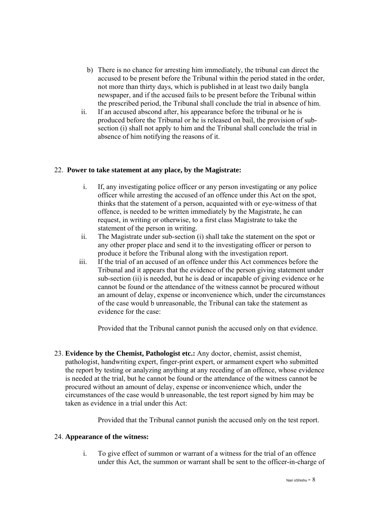- b) There is no chance for arresting him immediately, the tribunal can direct the accused to be present before the Tribunal within the period stated in the order, not more than thirty days, which is published in at least two daily bangla newspaper, and if the accused fails to be present before the Tribunal within the prescribed period, the Tribunal shall conclude the trial in absence of him.
- ii. If an accused abscond after, his appearance before the tribunal or he is produced before the Tribunal or he is released on bail, the provision of subsection (i) shall not apply to him and the Tribunal shall conclude the trial in absence of him notifying the reasons of it.

# 22. **Power to take statement at any place, by the Magistrate:**

- i. If, any investigating police officer or any person investigating or any police officer while arresting the accused of an offence under this Act on the spot, thinks that the statement of a person, acquainted with or eye-witness of that offence, is needed to be written immediately by the Magistrate, he can request, in writing or otherwise, to a first class Magistrate to take the statement of the person in writing.
- ii. The Magistrate under sub-section (і) shall take the statement on the spot or any other proper place and send it to the investigating officer or person to produce it before the Tribunal along with the investigation report.
- iii. If the trial of an accused of an offence under this Act commences before the Tribunal and it appears that the evidence of the person giving statement under sub-section (ii) is needed, but he is dead or incapable of giving evidence or he cannot be found or the attendance of the witness cannot be procured without an amount of delay, expense or inconvenience which, under the circumstances of the case would b unreasonable, the Tribunal can take the statement as evidence for the case:

Provided that the Tribunal cannot punish the accused only on that evidence.

23. **Evidence by the Chemist, Pathologist etc.:** Any doctor, chemist, assist chemist, pathologist, handwriting expert, finger-print expert, or armament expert who submitted the report by testing or analyzing anything at any receding of an offence, whose evidence is needed at the trial, but he cannot be found or the attendance of the witness cannot be procured without an amount of delay, expense or inconvenience which, under the circumstances of the case would b unreasonable, the test report signed by him may be taken as evidence in a trial under this Act:

Provided that the Tribunal cannot punish the accused only on the test report.

# 24. **Appearance of the witness:**

i. To give effect of summon or warrant of a witness for the trial of an offence under this Act, the summon or warrant shall be sent to the officer-in-charge of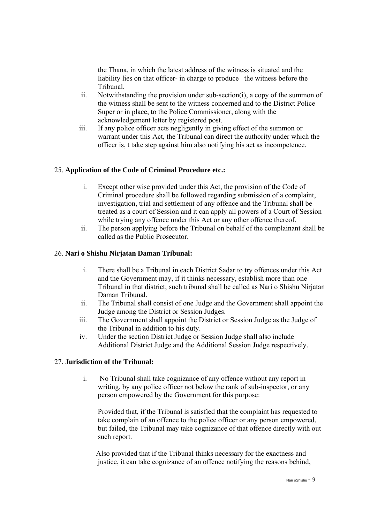the Thana, in which the latest address of the witness is situated and the liability lies on that officer- in charge to produce the witness before the Tribunal.

- ii. Notwithstanding the provision under sub-section(і), a copy of the summon of the witness shall be sent to the witness concerned and to the District Police Super or in place, to the Police Commissioner, along with the acknowledgement letter by registered post.
- iii. If any police officer acts negligently in giving effect of the summon or warrant under this Act, the Tribunal can direct the authority under which the officer is, t take step against him also notifying his act as incompetence.

# 25. **Application of the Code of Criminal Procedure etc.:**

- i. Except other wise provided under this Act, the provision of the Code of Criminal procedure shall be followed regarding submission of a complaint, investigation, trial and settlement of any offence and the Tribunal shall be treated as a court of Session and it can apply all powers of a Court of Session while trying any offence under this Act or any other offence thereof.
- ii. The person applying before the Tribunal on behalf of the complainant shall be called as the Public Prosecutor.

# 26. **Nari o Shishu Nirjatan Daman Tribunal:**

- i. There shall be a Tribunal in each District Sadar to try offences under this Act and the Government may, if it thinks necessary, establish more than one Tribunal in that district; such tribunal shall be called as Nari o Shishu Nirjatan Daman Tribunal.
- ii. The Tribunal shall consist of one Judge and the Government shall appoint the Judge among the District or Session Judges.
- iii. The Government shall appoint the District or Session Judge as the Judge of the Tribunal in addition to his duty.
- iv. Under the section District Judge or Session Judge shall also include Additional District Judge and the Additional Session Judge respectively.

# 27. **Jurisdiction of the Tribunal:**

i. No Tribunal shall take cognizance of any offence without any report in writing, by any police officer not below the rank of sub-inspector, or any person empowered by the Government for this purpose:

 Provided that, if the Tribunal is satisfied that the complaint has requested to take complain of an offence to the police officer or any person empowered, but failed, the Tribunal may take cognizance of that offence directly with out such report.

 Also provided that if the Tribunal thinks necessary for the exactness and justice, it can take cognizance of an offence notifying the reasons behind,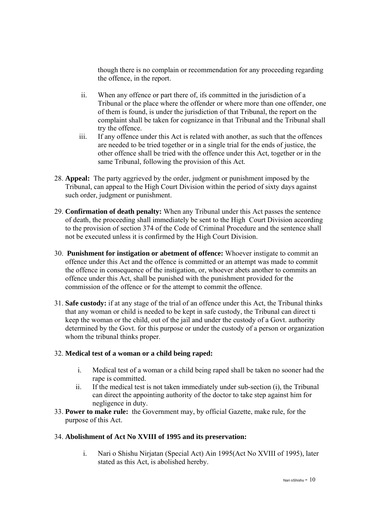though there is no complain or recommendation for any proceeding regarding the offence, in the report.

- ii. When any offence or part there of, ifs committed in the jurisdiction of a Tribunal or the place where the offender or where more than one offender, one of them is found, is under the jurisdiction of that Tribunal, the report on the complaint shall be taken for cognizance in that Tribunal and the Tribunal shall try the offence.
- iii. If any offence under this Act is related with another, as such that the offences are needed to be tried together or in a single trial for the ends of justice, the other offence shall be tried with the offence under this Act, together or in the same Tribunal, following the provision of this Act.
- 28. **Appeal:** The party aggrieved by the order, judgment or punishment imposed by the Tribunal, can appeal to the High Court Division within the period of sixty days against such order, judgment or punishment.
- 29. **Confirmation of death penalty:** When any Tribunal under this Act passes the sentence of death, the proceeding shall immediately be sent to the High Court Division according to the provision of section 374 of the Code of Criminal Procedure and the sentence shall not be executed unless it is confirmed by the High Court Division.
- 30. **Punishment for instigation or abetment of offence:** Whoever instigate to commit an offence under this Act and the offence is committed or an attempt was made to commit the offence in consequence of the instigation, or, whoever abets another to commits an offence under this Act, shall be punished with the punishment provided for the commission of the offence or for the attempt to commit the offence.
- 31. **Safe custody:** if at any stage of the trial of an offence under this Act, the Tribunal thinks that any woman or child is needed to be kept in safe custody, the Tribunal can direct ti keep the woman or the child, out of the jail and under the custody of a Govt. authority determined by the Govt. for this purpose or under the custody of a person or organization whom the tribunal thinks proper.

# 32. **Medical test of a woman or a child being raped:**

- i. Medical test of a woman or a child being raped shall be taken no sooner had the rape is committed.
- ii. If the medical test is not taken immediately under sub-section (і), the Tribunal can direct the appointing authority of the doctor to take step against him for negligence in duty.
- 33. **Power to make rule:** the Government may, by official Gazette, make rule, for the purpose of this Act.

# 34. **Abolishment of Act No XVIII of 1995 and its preservation:**

i. Nari o Shishu Nirjatan (Special Act) Ain 1995(Act No XVIII of 1995), later stated as this Act, is abolished hereby.